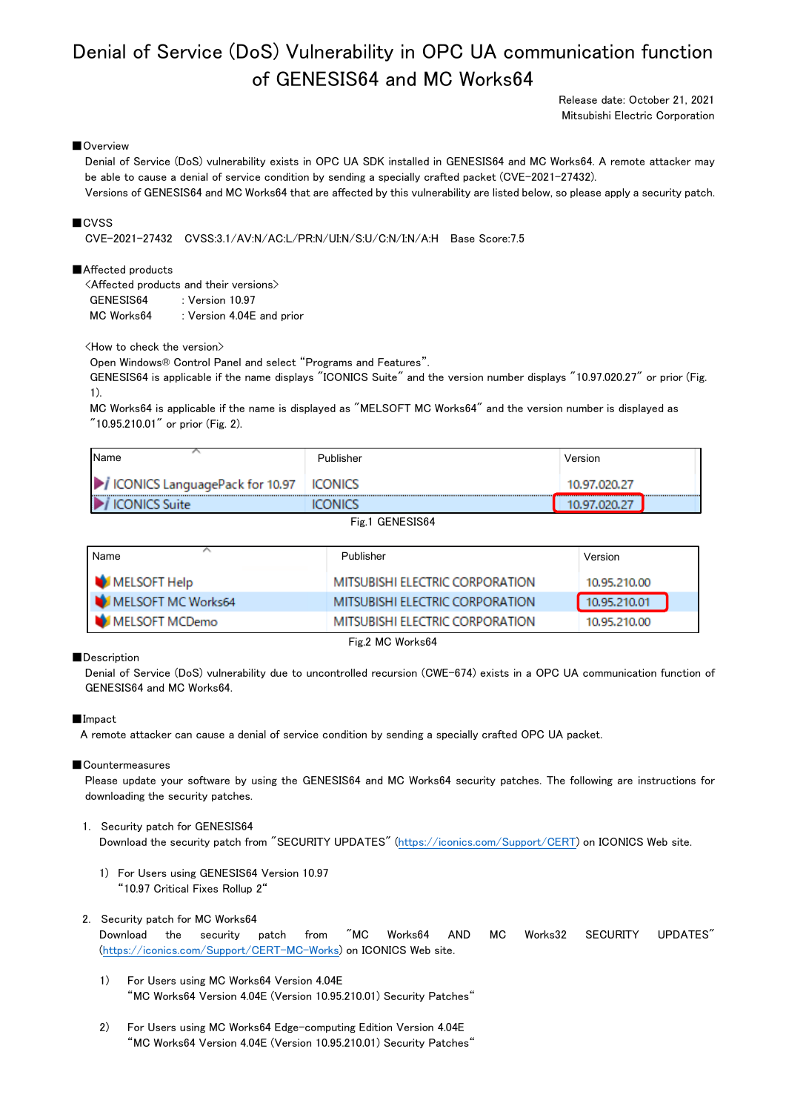# Denial of Service (DoS) Vulnerability in OPC UA communication function of GENESIS64 and MC Works64

Release date: October 21, 2021 Mitsubishi Electric Corporation

## ■Overview

Denial of Service (DoS) vulnerability exists in OPC UA SDK installed in GENESIS64 and MC Works64. A remote attacker may be able to cause a denial of service condition by sending a specially crafted packet (CVE-2021-27432).

Versions of GENESIS64 and MC Works64 that are affected by this vulnerability are listed below, so please apply a security patch.

## ■CVSS

CVE-2021-27432 CVSS:3.1/AV:N/AC:L/PR:N/UI:N/S:U/C:N/I:N/A:H Base Score:7.5

#### ■Affected products

<Affected products and their versions> GENESIS64 : Version 10.97 MC Works64 : Version 4.04E and prior

<How to check the version>

Open Windows® Control Panel and select "Programs and Features".

GENESIS64 is applicable if the name displays "ICONICS Suite" and the version number displays "10.97.020.27" or prior (Fig. 1).

MC Works64 is applicable if the name is displayed as "MELSOFT MC Works64" and the version number is displayed as "10.95.210.01" or prior (Fig. 2).

| <b>I</b> Name                            | Publisher | Version      |
|------------------------------------------|-----------|--------------|
| ICONICS LanguagePack for 10.97   ICONICS |           | 10.97.020.27 |
| D<br><b>ICONICS Suite</b>                | <br>אמאר  |              |

Fig.1 GENESIS64

| Name               | Publisher                       | Version      |  |
|--------------------|---------------------------------|--------------|--|
| MELSOFT Help       | MITSUBISHI ELECTRIC CORPORATION | 10.95.210.00 |  |
| MELSOFT MC Works64 | MITSUBISHI ELECTRIC CORPORATION | 10.95.210.01 |  |
| MELSOFT MCDemo     | MITSUBISHI ELECTRIC CORPORATION | 10.95.210.00 |  |
| Fig.2 MC Works64   |                                 |              |  |

■Description

Denial of Service (DoS) vulnerability due to uncontrolled recursion (CWE-674) exists in a OPC UA communication function of GENESIS64 and MC Works64.

#### ■Impact

A remote attacker can cause a denial of service condition by sending a specially crafted OPC UA packet.

#### ■Countermeasures

Please update your software by using the GENESIS64 and MC Works64 security patches. The following are instructions for downloading the security patches.

# 1. Security patch for GENESIS64 Download the security patch from "SECURITY UPDATES" [\(https://iconics.com/Support/CERT\)](https://iconics.com/Support/CERT) on ICONICS Web site.

1) For Users using GENESIS64 Version 10.97 "10.97 Critical Fixes Rollup 2"

# 2. Security patch for MC Works64

Download the security patch from "MC Works64 AND MC Works32 SECURITY UPDATES" [\(https://iconics.com/Support/CERT-MC-Works\)](https://iconics.com/Support/CERT-MC-Works) on ICONICS Web site.

- 1) For Users using MC Works64 Version 4.04E "MC Works64 Version 4.04E (Version 10.95.210.01) Security Patches"
- 2) For Users using MC Works64 Edge-computing Edition Version 4.04E "MC Works64 Version 4.04E (Version 10.95.210.01) Security Patches"